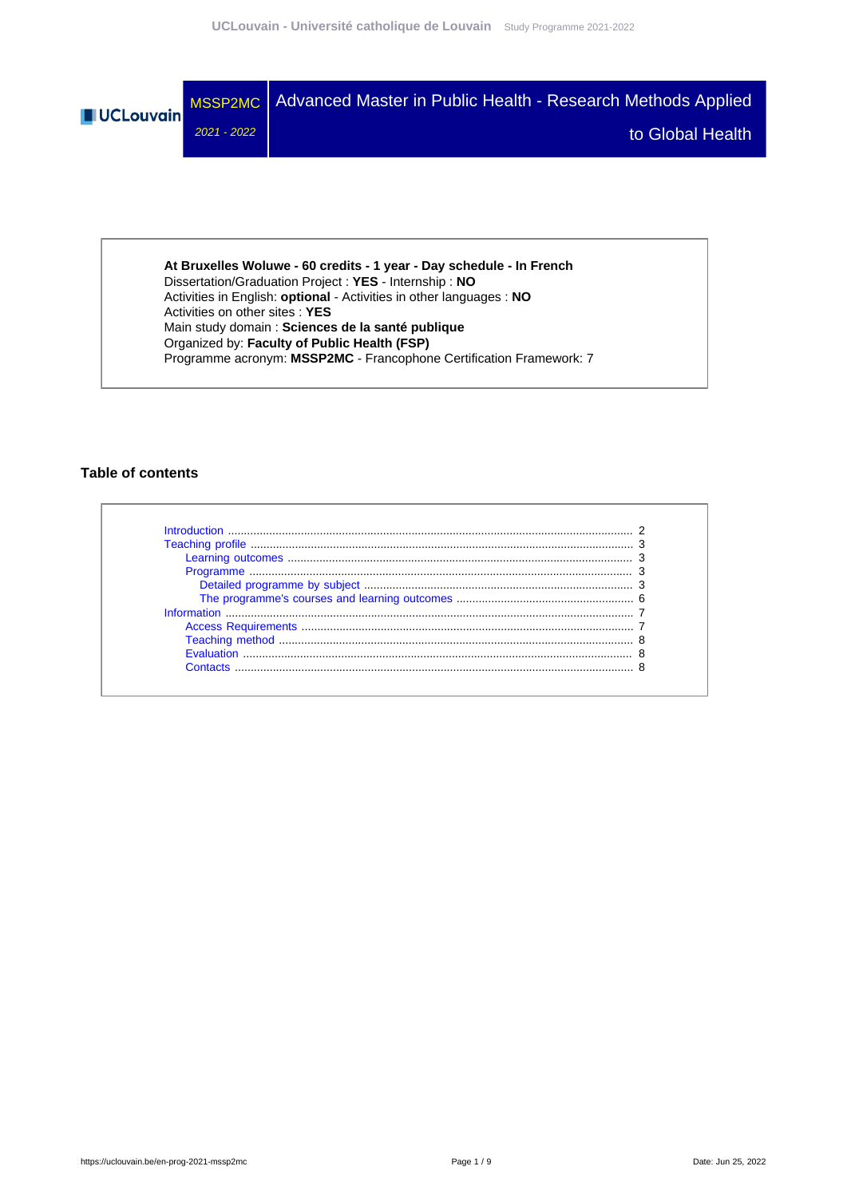

**At Bruxelles Woluwe - 60 credits - 1 year - Day schedule - In French** Dissertation/Graduation Project : **YES** - Internship : **NO** Activities in English: **optional** - Activities in other languages : **NO** Activities on other sites : **YES** Main study domain : **Sciences de la santé publique** Organized by: **Faculty of Public Health (FSP)** Programme acronym: **MSSP2MC** - Francophone Certification Framework: 7

### **Table of contents**

| Evaluation |  |
|------------|--|
| Contacte   |  |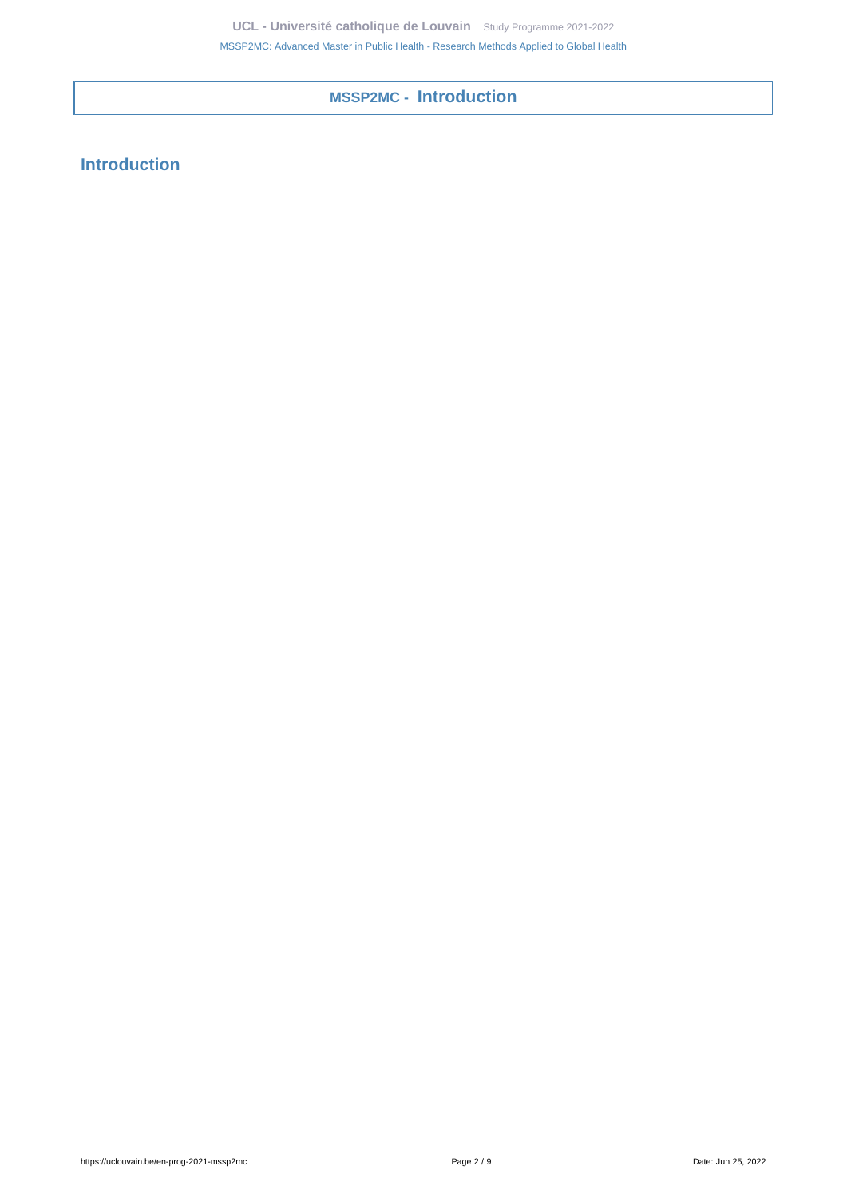**MSSP2MC - Introduction**

# <span id="page-1-0"></span>**Introduction**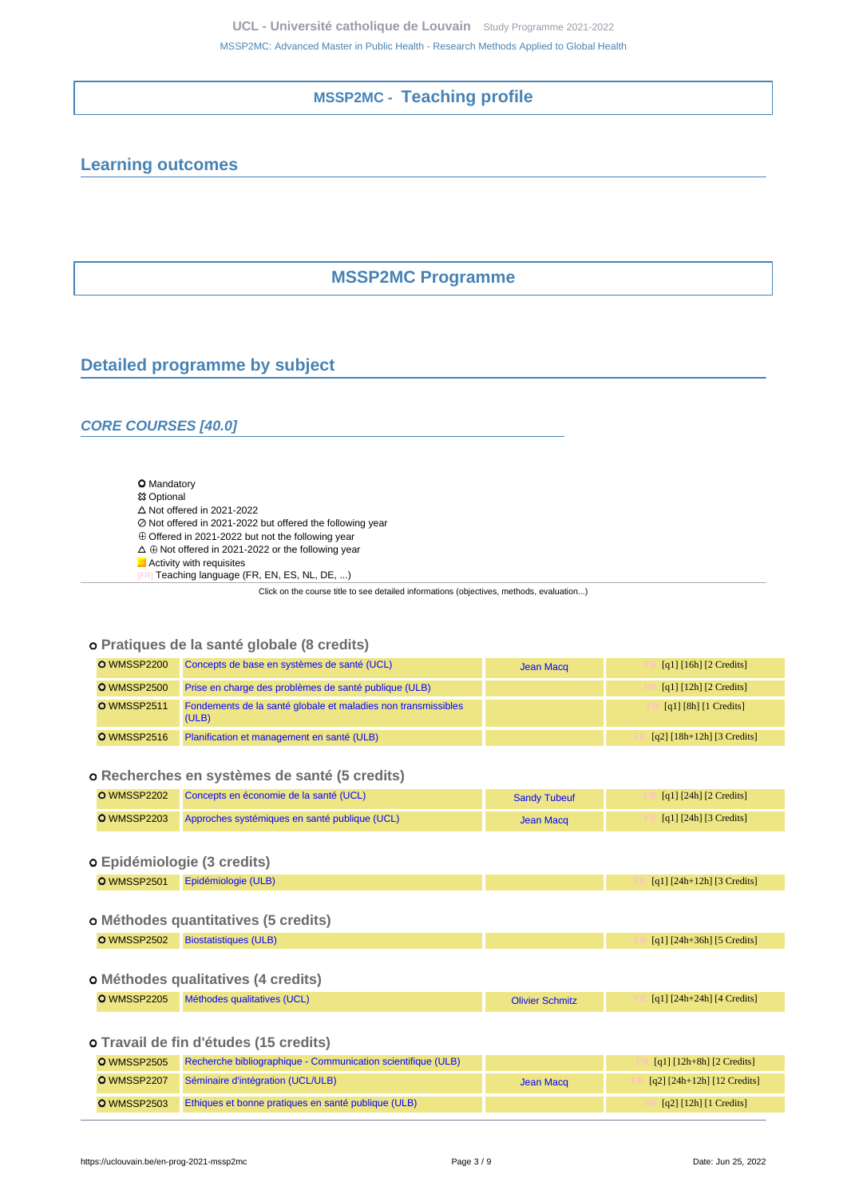## **MSSP2MC - Teaching profile**

## <span id="page-2-1"></span><span id="page-2-0"></span>**Learning outcomes**

## **MSSP2MC Programme**

## <span id="page-2-3"></span><span id="page-2-2"></span>**Detailed programme by subject**

**CORE COURSES [40.0]**

- **O** Mandatory
- **<sup>83</sup> Optional**
- $\Delta$  Not offered in 2021-2022
- Not offered in 2021-2022 but offered the following year
- $\oplus$  Offered in 2021-2022 but not the following year
- $\Delta\,\oplus$  Not offered in 2021-2022 or the following year
- **Activity with requisites** Teaching language (FR, EN, ES, NL, DE, ...)
	- Click on the course title to see detailed informations (objectives, methods, evaluation...)

### **Pratiques de la santé globale (8 credits)**

| <b>O</b> WMSSP2200 | Concepts de base en systèmes de santé (UCL)                            | Jean Macq | [q1] $[16h]$ $[2$ Credits]                                   |
|--------------------|------------------------------------------------------------------------|-----------|--------------------------------------------------------------|
| <b>O</b> WMSSP2500 | Prise en charge des problèmes de santé publique (ULB)                  |           | [q1] $[12h]$ [2 Credits]                                     |
| <b>O</b> WMSSP2511 | Fondements de la santé globale et maladies non transmissibles<br>(ULB) |           | $\lceil q_1 \rceil \lceil 8h \rceil \lceil 1 \rceil$ Credits |
| <b>O</b> WMSSP2516 | Planification et management en santé (ULB)                             |           | $[q2] [18h+12h] [3 Credits]$                                 |

### **Recherches en systèmes de santé (5 credits)**

| O WMSSP2202 Concepts en économie de la santé (UCL)               | <b>Sandy Tubeuf</b> | [q1] $[24h]$ [2 Credits] |
|------------------------------------------------------------------|---------------------|--------------------------|
| <b>O</b> WMSSP2203 Approches systémiques en santé publique (UCL) | Jean Macq           | [q1] $[24h]$ [3 Credits] |

 **Epidémiologie (3 credits)**

| <b>O</b> WMSSP2501 Epidémiologie (ULB) | $[q1]$ [24h+12h] [3 Credits] |
|----------------------------------------|------------------------------|
|                                        |                              |

## **Méthodes quantitatives (5 credits)**

| O WMSSP2502 | <b>Biostatistiques (ULB)</b> |
|-------------|------------------------------|
|-------------|------------------------------|

### **Méthodes qualitatives (4 credits)**

|  | <b>O</b> WMSSP2205 Méthodes qualitatives (UCL) | <b>Olivier Schmitz</b> | [q1] $[24h+24h]$ [4 Credits] |
|--|------------------------------------------------|------------------------|------------------------------|
|--|------------------------------------------------|------------------------|------------------------------|

### **Travail de fin d'études (15 credits)**

| <b>O</b> WMSSP2505 | Recherche bibliographique - Communication scientifique (ULB) |           | [q1] $[12h+8h]$ [2 Credits]   |
|--------------------|--------------------------------------------------------------|-----------|-------------------------------|
| <b>O</b> WMSSP2207 | Séminaire d'intégration (UCL/ULB)                            | Jean Macq | [q2] $[24h+12h]$ [12 Credits] |
| <b>O</b> WMSSP2503 | Ethiques et bonne pratiques en santé publique (ULB)          |           | [q2] [12h] [1 Credits]        |

[q1] [24h+36h] [5 Credits]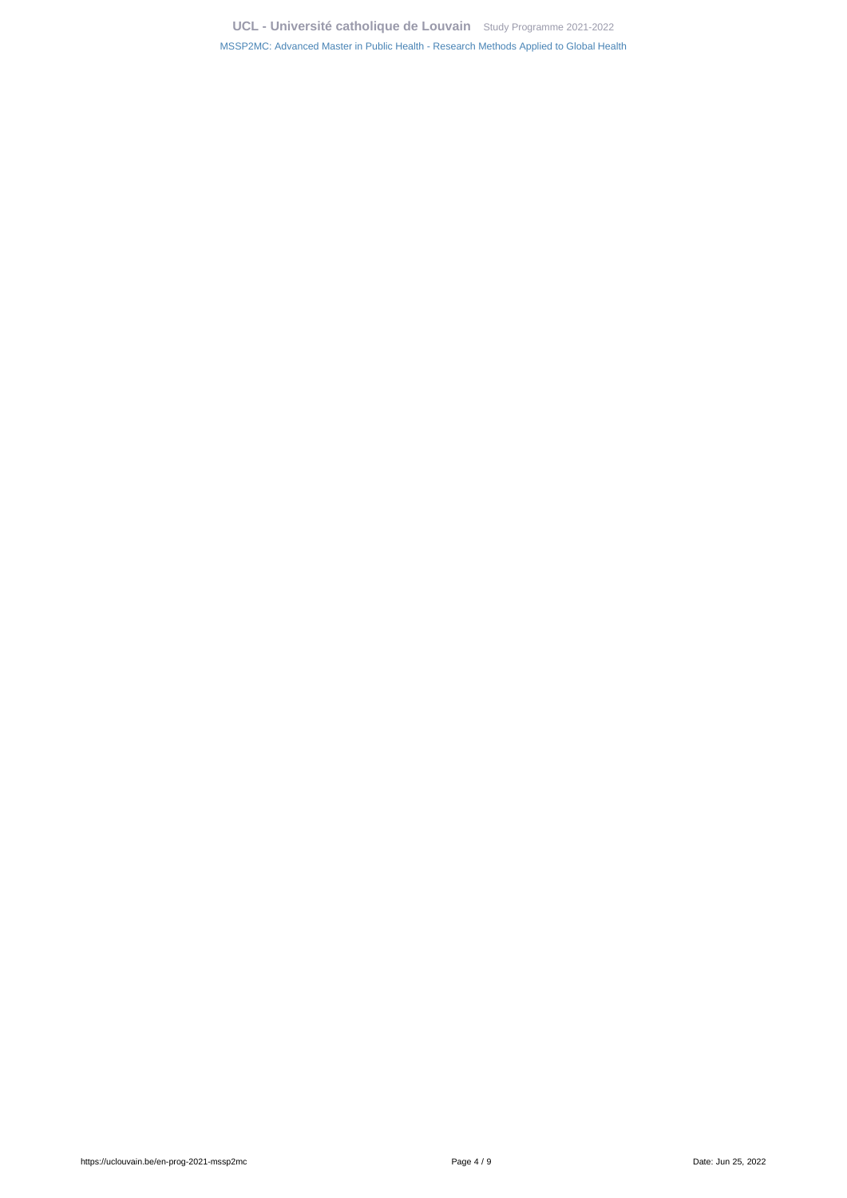**UCL - Université catholique de Louvain** [Study Programme 2021-2022](https://uclouvain.be/en/study-programme) [MSSP2MC: Advanced Master in Public Health - Research Methods Applied to Global Health](https://uclouvain.be/en-prog-2021-mssp2mc.html)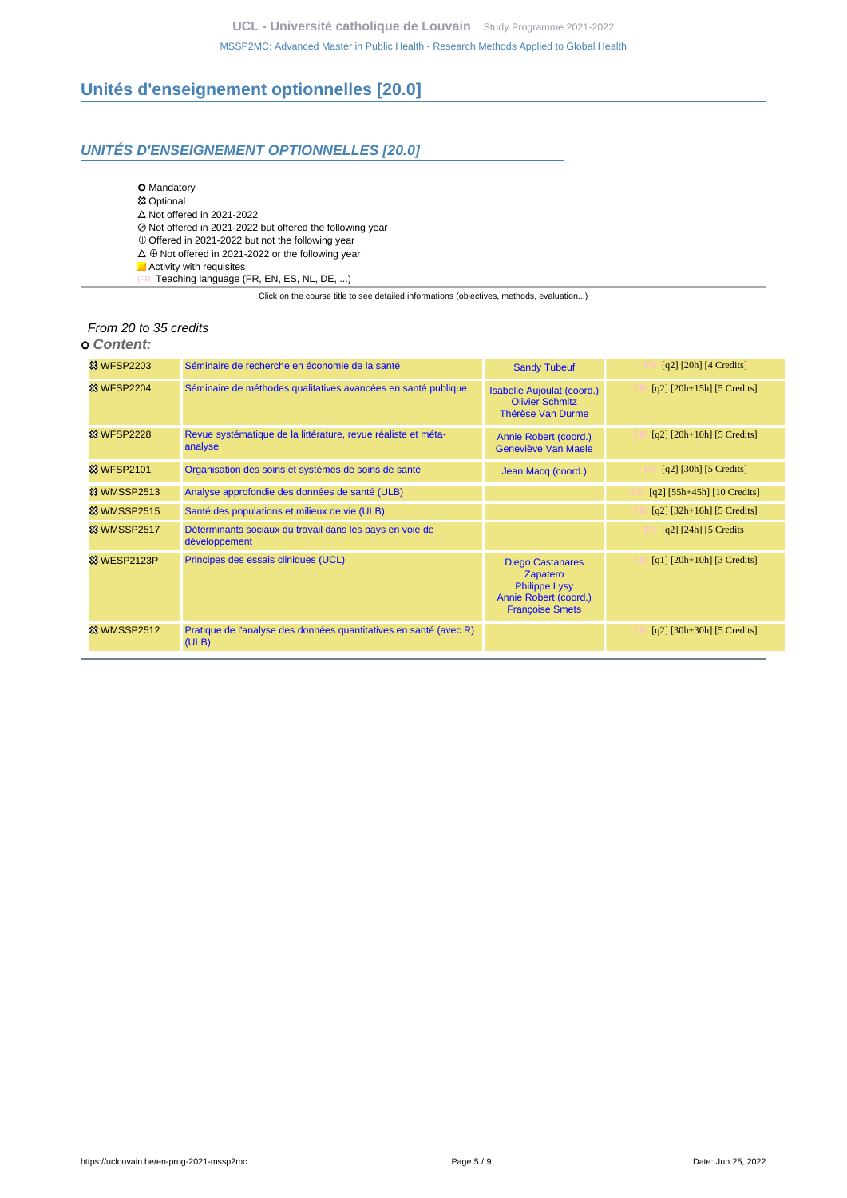# **Unités d'enseignement optionnelles [20.0]**

### **UNITÉS D'ENSEIGNEMENT OPTIONNELLES [20.0]**

#### **O** Mandatory

**<sup>3</sup>** Optional

 $\triangle$  Not offered in 2021-2022

Not offered in 2021-2022 but offered the following year

 $\oplus$  Offered in 2021-2022 but not the following year

 $\Delta \oplus$  Not offered in 2021-2022 or the following year

Activity with requisites

[FR] Teaching language (FR, EN, ES, NL, DE, ...)

Click on the course title to see detailed informations (objectives, methods, evaluation...)

### From 20 to 35 credits

#### **Content:**

| <b>83 WFSP2203</b>     | Séminaire de recherche en économie de la santé                             | <b>Sandy Tubeuf</b>                                                                                            | $[q2]$ [20h] [4 Credits]              |
|------------------------|----------------------------------------------------------------------------|----------------------------------------------------------------------------------------------------------------|---------------------------------------|
| <b>&amp; WFSP2204</b>  | Séminaire de méthodes qualitatives avancées en santé publique              | <b>Isabelle Aujoulat (coord.)</b><br><b>Olivier Schmitz</b><br>Thérèse Van Durme                               | $[q2]$ $[20h+15h]$ $[5$ Credits]      |
| <b>83 WFSP2228</b>     | Revue systématique de la littérature, revue réaliste et méta-<br>analyse   | Annie Robert (coord.)<br>Geneviève Van Maele                                                                   | $[q2]$ $[20h+10h]$ $[5$ Credits]      |
| <b>&amp; WFSP2101</b>  | Organisation des soins et systèmes de soins de santé                       | Jean Macq (coord.)                                                                                             | $\lceil q^2 \rceil$ [30h] [5 Credits] |
| <b>83 WMSSP2513</b>    | Analyse approfondie des données de santé (ULB)                             |                                                                                                                | $[q2]$ [55h+45h] [10 Credits]         |
| <b>&amp; WMSSP2515</b> | Santé des populations et milieux de vie (ULB)                              |                                                                                                                | $[q2]$ [32h+16h] [5 Credits]          |
| <b>83 WMSSP2517</b>    | Déterminants sociaux du travail dans les pays en voie de<br>développement  |                                                                                                                | $[q2]$ [24h] [5 Credits]              |
| <b>&amp; WESP2123P</b> | Principes des essais cliniques (UCL)                                       | <b>Diego Castanares</b><br>Zapatero<br><b>Philippe Lysy</b><br>Annie Robert (coord.)<br><b>Françoise Smets</b> | $[q1]$ $[20h+10h]$ $[3$ Credits]      |
| <b>&amp; WMSSP2512</b> | Pratique de l'analyse des données quantitatives en santé (avec R)<br>(ULB) |                                                                                                                | $[q2]$ [30h+30h] [5 Credits]          |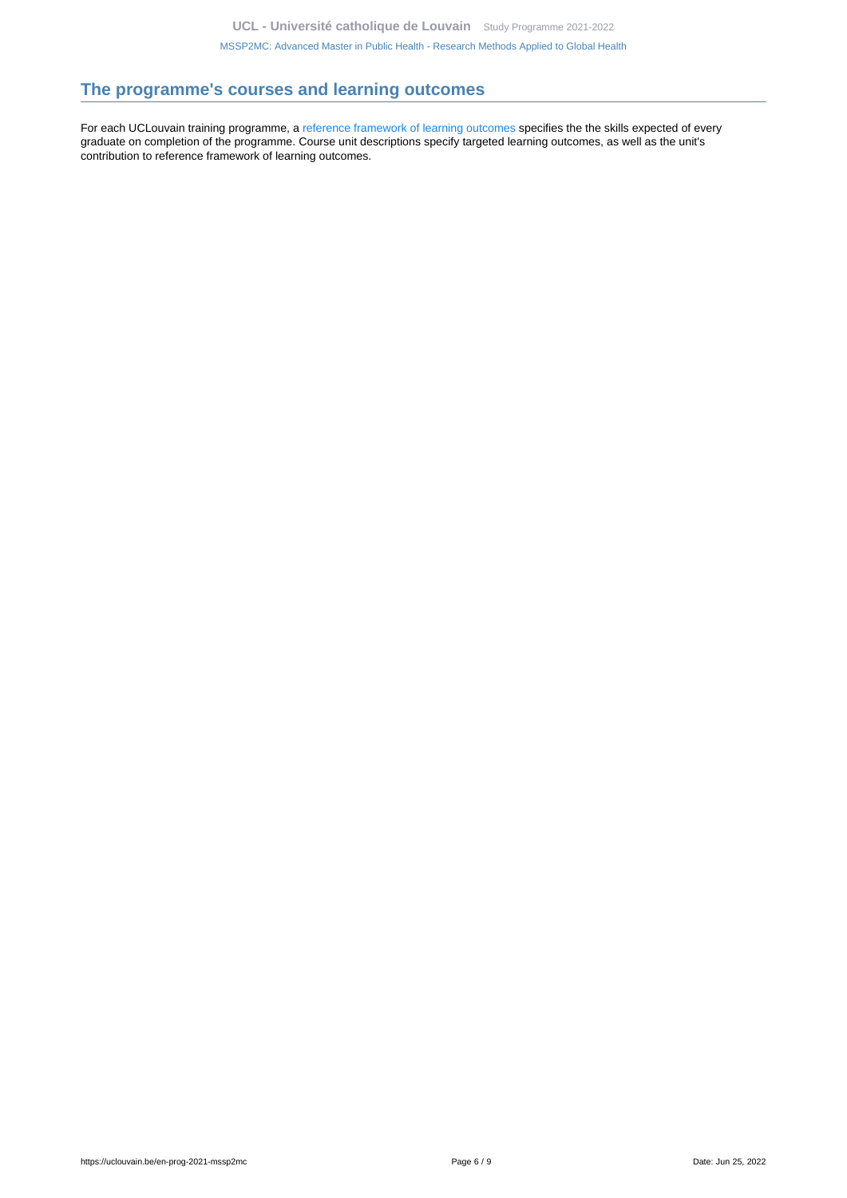## <span id="page-5-0"></span>**The programme's courses and learning outcomes**

For each UCLouvain training programme, a [reference framework of learning outcomes](https://uclouvain.be/en-prog-2021-mssp2mc-competences_et_acquis.html) specifies the the skills expected of every graduate on completion of the programme. Course unit descriptions specify targeted learning outcomes, as well as the unit's contribution to reference framework of learning outcomes.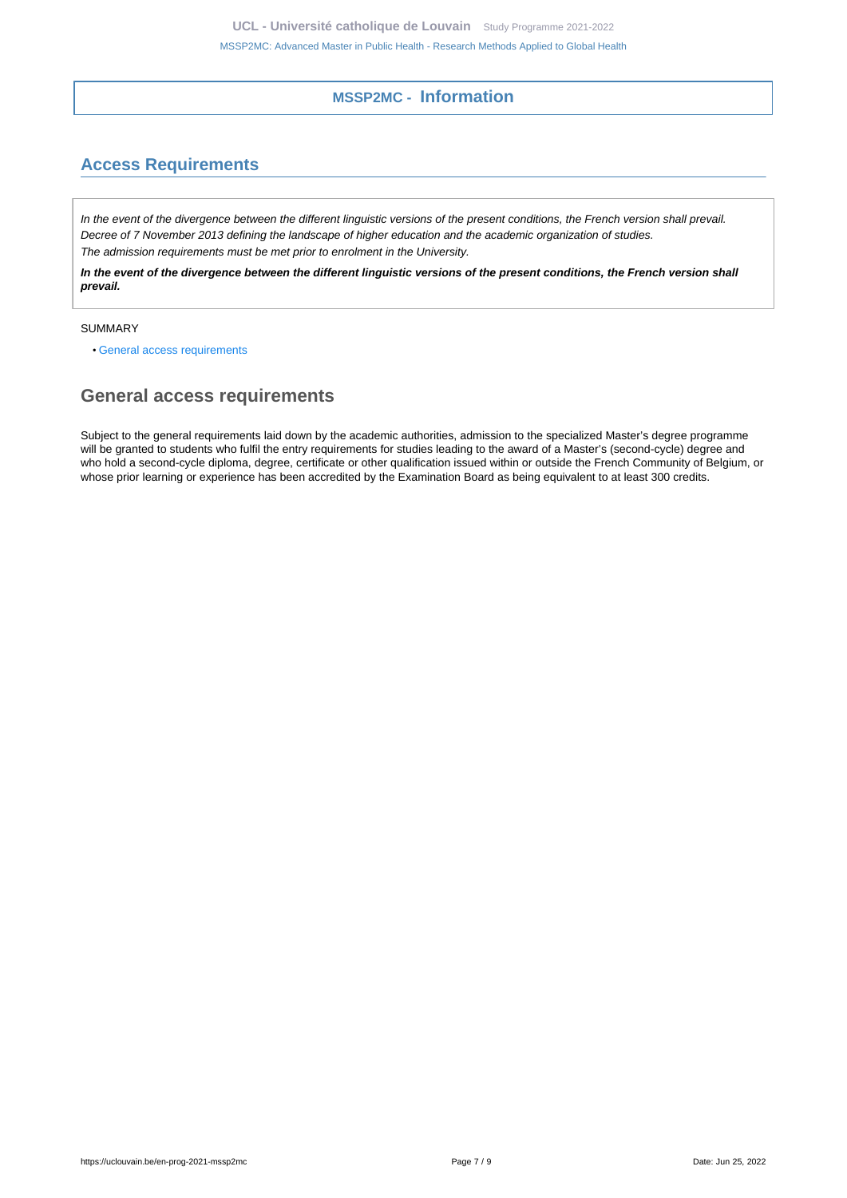## **MSSP2MC - Information**

# <span id="page-6-1"></span><span id="page-6-0"></span>**Access Requirements**

In the event of the divergence between the different linguistic versions of the present conditions, the French version shall prevail. Decree of 7 November 2013 defining the landscape of higher education and the academic organization of studies. The admission requirements must be met prior to enrolment in the University.

**In the event of the divergence between the different linguistic versions of the present conditions, the French version shall prevail.**

SUMMARY

• [General access requirements](#page-6-2)

# <span id="page-6-2"></span>**General access requirements**

Subject to the general requirements laid down by the academic authorities, admission to the specialized Master's degree programme will be granted to students who fulfil the entry requirements for studies leading to the award of a Master's (second-cycle) degree and who hold a second-cycle diploma, degree, certificate or other qualification issued within or outside the French Community of Belgium, or whose prior learning or experience has been accredited by the Examination Board as being equivalent to at least 300 credits.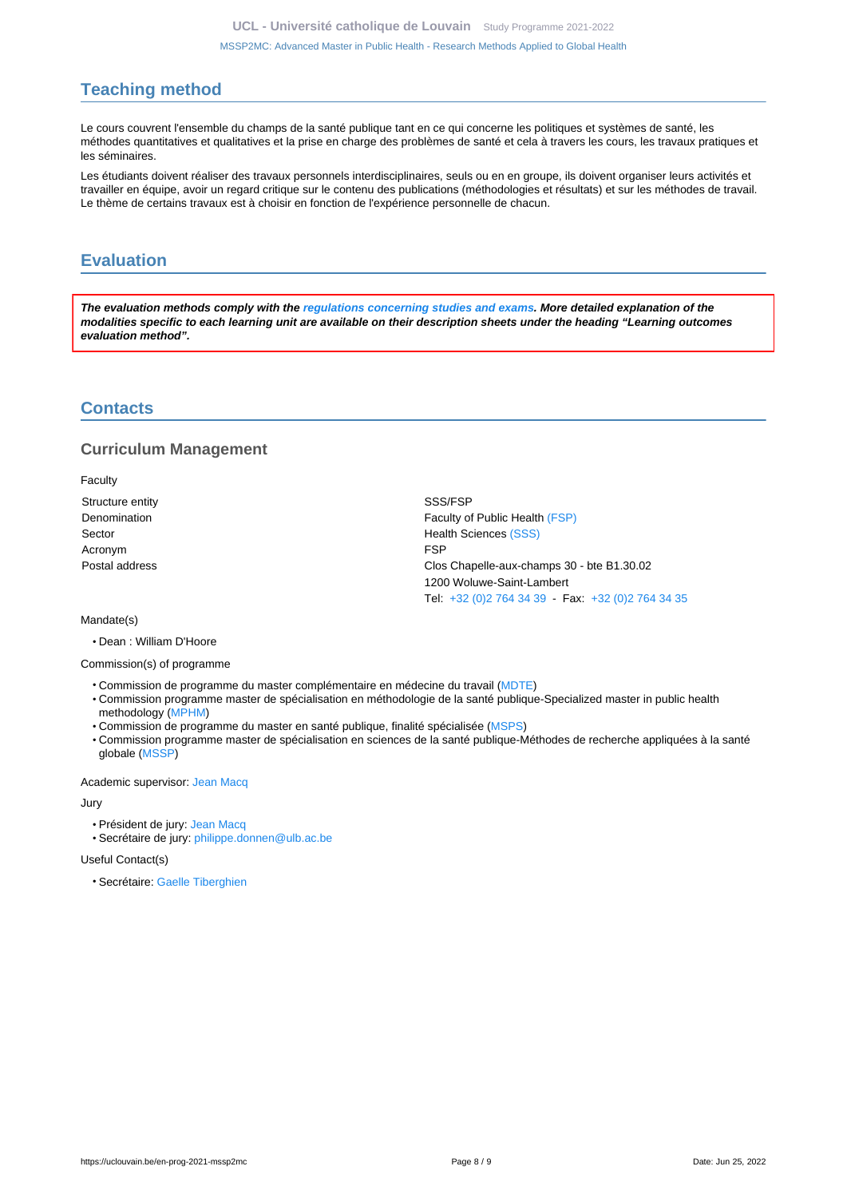# <span id="page-7-0"></span>**Teaching method**

Le cours couvrent l'ensemble du champs de la santé publique tant en ce qui concerne les politiques et systèmes de santé, les méthodes quantitatives et qualitatives et la prise en charge des problèmes de santé et cela à travers les cours, les travaux pratiques et les séminaires.

Les étudiants doivent réaliser des travaux personnels interdisciplinaires, seuls ou en en groupe, ils doivent organiser leurs activités et travailler en équipe, avoir un regard critique sur le contenu des publications (méthodologies et résultats) et sur les méthodes de travail. Le thème de certains travaux est à choisir en fonction de l'expérience personnelle de chacun.

# <span id="page-7-1"></span>**Evaluation**

**The evaluation methods comply with the [regulations concerning studies and exams](https://uclouvain.be/fr/decouvrir/rgee.html). More detailed explanation of the modalities specific to each learning unit are available on their description sheets under the heading "Learning outcomes evaluation method".**

### <span id="page-7-2"></span>**Contacts**

### **Curriculum Management**

#### Faculty

Structure entity SSS/FSP Acronym **FSP** 

**Denomination Denomination Faculty of Public Health [\(FSP\)](https://uclouvain.be/repertoires/entites/fsp)** Sector Health Sciences [\(SSS\)](https://uclouvain.be/repertoires/entites/sss) Postal address Clos Chapelle-aux-champs 30 - bte B1.30.02 1200 Woluwe-Saint-Lambert Tel: [+32 \(0\)2 764 34 39](https://uclouvain.be/tel:+3227643439) - Fax: [+32 \(0\)2 764 34 35](https://uclouvain.be/tel:+3227643435)

#### Mandate(s)

• Dean : William D'Hoore

#### Commission(s) of programme

- Commission de programme du master complémentaire en médecine du travail [\(MDTE\)](https://uclouvain.be/fr/repertoires/entites/MDTE)
- Commission programme master de spécialisation en méthodologie de la santé publique-Specialized master in public health methodology [\(MPHM\)](https://uclouvain.be/fr/repertoires/entites/MPHM)
- Commission de programme du master en santé publique, finalité spécialisée [\(MSPS\)](https://uclouvain.be/fr/repertoires/entites/MSPS)
- Commission programme master de spécialisation en sciences de la santé publique-Méthodes de recherche appliquées à la santé globale [\(MSSP\)](https://uclouvain.be/fr/repertoires/entites/MSSP)

Academic supervisor: [Jean Macq](https://uclouvain.be/repertoires/jean.macq)

#### Jury

- Président de jury: [Jean Macq](https://uclouvain.be/repertoires/jean.macq)
- Secrétaire de jury: [philippe.donnen@ulb.ac.be](https://uclouvain.be/mailto:philippe.donnen@ulb.ac.be)

#### Useful Contact(s)

• Secrétaire: [Gaelle Tiberghien](https://uclouvain.be/repertoires/gaelle.tiberghien)